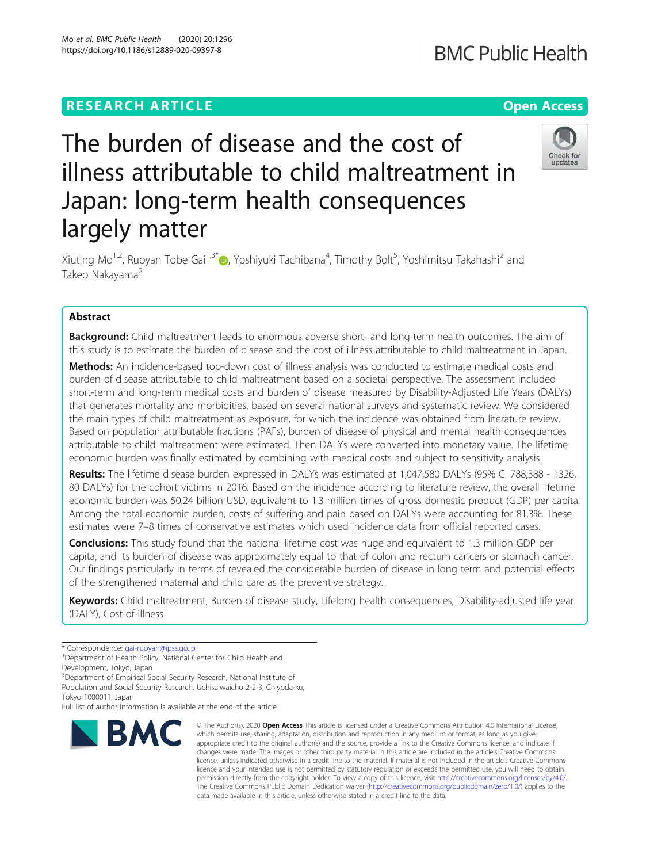# **RESEARCH ARTICLE Example 2014 12:30 The Contract of Contract ACCESS**

# The burden of disease and the cost of illness attributable to child maltreatment in Japan: long-term health consequences largely matter

Xiuting Mo<sup>1,2</sup>, Ruoyan Tobe Gai<sup>1,3[\\*](http://orcid.org/0000-0002-6271-555X)</sup>®, Yoshiyuki Tachibana<sup>4</sup>, Timothy Bolt<sup>5</sup>, Yoshimitsu Takahashi<sup>2</sup> and Takeo Nakayama<sup>2</sup>

# Abstract

**Background:** Child maltreatment leads to enormous adverse short- and long-term health outcomes. The aim of this study is to estimate the burden of disease and the cost of illness attributable to child maltreatment in Japan.

Methods: An incidence-based top-down cost of illness analysis was conducted to estimate medical costs and burden of disease attributable to child maltreatment based on a societal perspective. The assessment included short-term and long-term medical costs and burden of disease measured by Disability-Adjusted Life Years (DALYs) that generates mortality and morbidities, based on several national surveys and systematic review. We considered the main types of child maltreatment as exposure, for which the incidence was obtained from literature review. Based on population attributable fractions (PAFs), burden of disease of physical and mental health consequences attributable to child maltreatment were estimated. Then DALYs were converted into monetary value. The lifetime economic burden was finally estimated by combining with medical costs and subject to sensitivity analysis.

Results: The lifetime disease burden expressed in DALYs was estimated at 1,047,580 DALYs (95% CI 788,388 - 1326, 80 DALYs) for the cohort victims in 2016. Based on the incidence according to literature review, the overall lifetime economic burden was 50.24 billion USD, equivalent to 1.3 million times of gross domestic product (GDP) per capita. Among the total economic burden, costs of suffering and pain based on DALYs were accounting for 81.3%. These estimates were 7–8 times of conservative estimates which used incidence data from official reported cases.

**Conclusions:** This study found that the national lifetime cost was huge and equivalent to 1.3 million GDP per capita, and its burden of disease was approximately equal to that of colon and rectum cancers or stomach cancer. Our findings particularly in terms of revealed the considerable burden of disease in long term and potential effects of the strengthened maternal and child care as the preventive strategy.

Keywords: Child maltreatment, Burden of disease study, Lifelong health consequences, Disability-adjusted life year (DALY), Cost-of-illness

© The Author(s), 2020 **Open Access** This article is licensed under a Creative Commons Attribution 4.0 International License,

\* Correspondence: [gai-ruoyan@ipss.go.jp](mailto:gai-ruoyan@ipss.go.jp) <sup>1</sup>

<sup>1</sup>Department of Health Policy, National Center for Child Health and Development, Tokyo, Japan

<sup>3</sup>Department of Empirical Social Security Research, National Institute of Population and Social Security Research, Uchisaiwaicho 2-2-3, Chiyoda-ku, Tokyo 1000011, Japan

Full list of author information is available at the end of the article





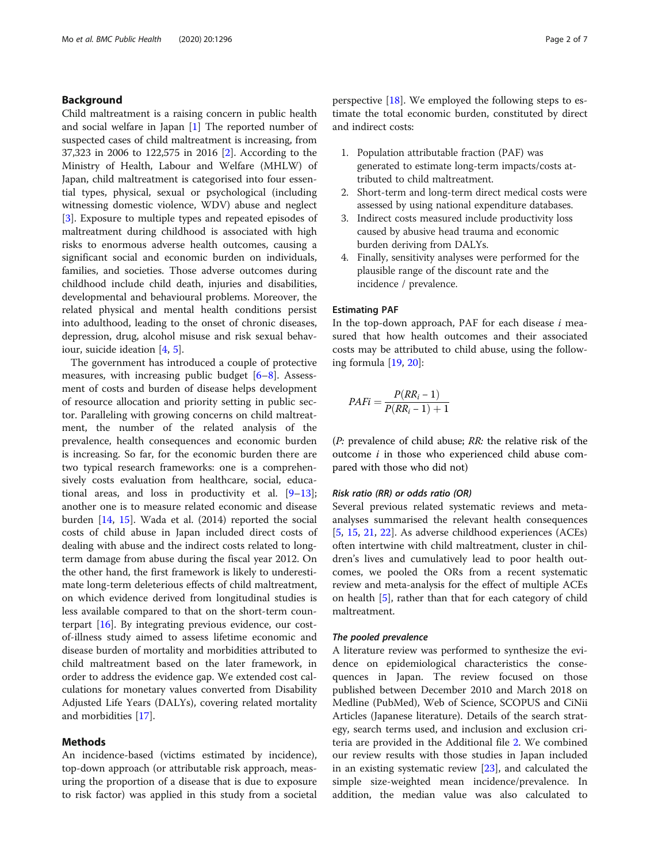# Background

Child maltreatment is a raising concern in public health and social welfare in Japan [\[1](#page-6-0)] The reported number of suspected cases of child maltreatment is increasing, from 37,323 in 2006 to 122,575 in 2016 [\[2](#page-6-0)]. According to the Ministry of Health, Labour and Welfare (MHLW) of Japan, child maltreatment is categorised into four essential types, physical, sexual or psychological (including witnessing domestic violence, WDV) abuse and neglect [[3\]](#page-6-0). Exposure to multiple types and repeated episodes of maltreatment during childhood is associated with high risks to enormous adverse health outcomes, causing a significant social and economic burden on individuals, families, and societies. Those adverse outcomes during childhood include child death, injuries and disabilities, developmental and behavioural problems. Moreover, the related physical and mental health conditions persist into adulthood, leading to the onset of chronic diseases, depression, drug, alcohol misuse and risk sexual behaviour, suicide ideation [[4](#page-6-0), [5](#page-6-0)].

The government has introduced a couple of protective measures, with increasing public budget [[6](#page-6-0)–[8\]](#page-6-0). Assessment of costs and burden of disease helps development of resource allocation and priority setting in public sector. Paralleling with growing concerns on child maltreatment, the number of the related analysis of the prevalence, health consequences and economic burden is increasing. So far, for the economic burden there are two typical research frameworks: one is a comprehensively costs evaluation from healthcare, social, educational areas, and loss in productivity et al. [[9](#page-6-0)–[13](#page-6-0)]; another one is to measure related economic and disease burden [\[14,](#page-6-0) [15](#page-6-0)]. Wada et al. (2014) reported the social costs of child abuse in Japan included direct costs of dealing with abuse and the indirect costs related to longterm damage from abuse during the fiscal year 2012. On the other hand, the first framework is likely to underestimate long-term deleterious effects of child maltreatment, on which evidence derived from longitudinal studies is less available compared to that on the short-term counterpart [[16](#page-6-0)]. By integrating previous evidence, our costof-illness study aimed to assess lifetime economic and disease burden of mortality and morbidities attributed to child maltreatment based on the later framework, in order to address the evidence gap. We extended cost calculations for monetary values converted from Disability Adjusted Life Years (DALYs), covering related mortality and morbidities [\[17\]](#page-6-0).

#### Methods

An incidence-based (victims estimated by incidence), top-down approach (or attributable risk approach, measuring the proportion of a disease that is due to exposure to risk factor) was applied in this study from a societal perspective [[18\]](#page-6-0). We employed the following steps to estimate the total economic burden, constituted by direct and indirect costs:

- 1. Population attributable fraction (PAF) was generated to estimate long-term impacts/costs attributed to child maltreatment.
- 2. Short-term and long-term direct medical costs were assessed by using national expenditure databases.
- 3. Indirect costs measured include productivity loss caused by abusive head trauma and economic burden deriving from DALYs.
- 4. Finally, sensitivity analyses were performed for the plausible range of the discount rate and the incidence / prevalence.

#### Estimating PAF

In the top-down approach, PAF for each disease  $i$  measured that how health outcomes and their associated costs may be attributed to child abuse, using the following formula [[19](#page-6-0), [20](#page-6-0)]:

$$
PAFi = \frac{P(RR_i - 1)}{P(RR_i - 1) + 1}
$$

(P: prevalence of child abuse; RR: the relative risk of the outcome  $i$  in those who experienced child abuse compared with those who did not)

#### Risk ratio (RR) or odds ratio (OR)

Several previous related systematic reviews and metaanalyses summarised the relevant health consequences [[5,](#page-6-0) [15](#page-6-0), [21](#page-6-0), [22](#page-6-0)]. As adverse childhood experiences (ACEs) often intertwine with child maltreatment, cluster in children's lives and cumulatively lead to poor health outcomes, we pooled the ORs from a recent systematic review and meta-analysis for the effect of multiple ACEs on health [\[5](#page-6-0)], rather than that for each category of child maltreatment.

#### The pooled prevalence

A literature review was performed to synthesize the evidence on epidemiological characteristics the consequences in Japan. The review focused on those published between December 2010 and March 2018 on Medline (PubMed), Web of Science, SCOPUS and CiNii Articles (Japanese literature). Details of the search strategy, search terms used, and inclusion and exclusion criteria are provided in the Additional file [2](#page-5-0). We combined our review results with those studies in Japan included in an existing systematic review [[23\]](#page-6-0), and calculated the simple size-weighted mean incidence/prevalence. In addition, the median value was also calculated to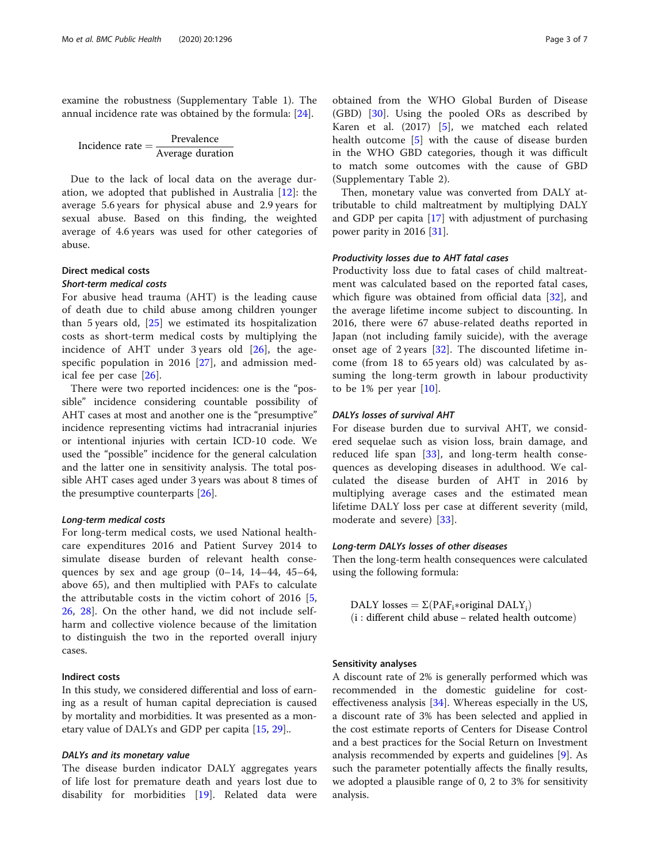examine the robustness (Supplementary Table 1). The annual incidence rate was obtained by the formula: [\[24](#page-6-0)].

$$
Incidence rate = \frac{Prevalence}{Average duration}
$$

Due to the lack of local data on the average duration, we adopted that published in Australia  $[12]$  $[12]$  $[12]$ : the average 5.6 years for physical abuse and 2.9 years for sexual abuse. Based on this finding, the weighted average of 4.6 years was used for other categories of abuse.

# Direct medical costs

#### Short-term medical costs

For abusive head trauma (AHT) is the leading cause of death due to child abuse among children younger than 5 years old, [\[25](#page-6-0)] we estimated its hospitalization costs as short-term medical costs by multiplying the incidence of AHT under 3 years old  $[26]$  $[26]$  $[26]$ , the agespecific population in 2016 [\[27](#page-6-0)], and admission medical fee per case [[26\]](#page-6-0).

There were two reported incidences: one is the "possible" incidence considering countable possibility of AHT cases at most and another one is the "presumptive" incidence representing victims had intracranial injuries or intentional injuries with certain ICD-10 code. We used the "possible" incidence for the general calculation and the latter one in sensitivity analysis. The total possible AHT cases aged under 3 years was about 8 times of the presumptive counterparts [[26\]](#page-6-0).

#### Long-term medical costs

For long-term medical costs, we used National healthcare expenditures 2016 and Patient Survey 2014 to simulate disease burden of relevant health consequences by sex and age group  $(0-14, 14-44, 45-64,$ above 65), and then multiplied with PAFs to calculate the attributable costs in the victim cohort of 2016 [\[5](#page-6-0), [26,](#page-6-0) [28\]](#page-6-0). On the other hand, we did not include selfharm and collective violence because of the limitation to distinguish the two in the reported overall injury cases.

# Indirect costs

In this study, we considered differential and loss of earning as a result of human capital depreciation is caused by mortality and morbidities. It was presented as a monetary value of DALYs and GDP per capita [[15](#page-6-0), [29](#page-6-0)]..

#### DALYs and its monetary value

The disease burden indicator DALY aggregates years of life lost for premature death and years lost due to disability for morbidities [[19\]](#page-6-0). Related data were

obtained from the WHO Global Burden of Disease (GBD) [[30\]](#page-6-0). Using the pooled ORs as described by Karen et al. (2017) [[5](#page-6-0)], we matched each related health outcome [[5\]](#page-6-0) with the cause of disease burden in the WHO GBD categories, though it was difficult to match some outcomes with the cause of GBD (Supplementary Table 2).

Then, monetary value was converted from DALY attributable to child maltreatment by multiplying DALY and GDP per capita [[17\]](#page-6-0) with adjustment of purchasing power parity in 2016 [[31\]](#page-6-0).

#### Productivity losses due to AHT fatal cases

Productivity loss due to fatal cases of child maltreatment was calculated based on the reported fatal cases, which figure was obtained from official data [[32\]](#page-6-0), and the average lifetime income subject to discounting. In 2016, there were 67 abuse-related deaths reported in Japan (not including family suicide), with the average onset age of 2 years [\[32](#page-6-0)]. The discounted lifetime income (from 18 to 65 years old) was calculated by assuming the long-term growth in labour productivity to be 1% per year  $[10]$  $[10]$ .

### DALYs losses of survival AHT

For disease burden due to survival AHT, we considered sequelae such as vision loss, brain damage, and reduced life span  $[33]$  $[33]$ , and long-term health consequences as developing diseases in adulthood. We calculated the disease burden of AHT in 2016 by multiplying average cases and the estimated mean lifetime DALY loss per case at different severity (mild, moderate and severe) [\[33](#page-6-0)].

# Long-term DALYs losses of other diseases

Then the long-term health consequences were calculated using the following formula:

 $\text{DALY}\text{ losses} = \Sigma(\text{PAF}_i*\text{original }\text{DALY}_i)$ (i : different child abuse – related health outcome)

#### Sensitivity analyses

A discount rate of 2% is generally performed which was recommended in the domestic guideline for costeffectiveness analysis [[34\]](#page-6-0). Whereas especially in the US, a discount rate of 3% has been selected and applied in the cost estimate reports of Centers for Disease Control and a best practices for the Social Return on Investment analysis recommended by experts and guidelines [\[9\]](#page-6-0). As such the parameter potentially affects the finally results, we adopted a plausible range of 0, 2 to 3% for sensitivity analysis.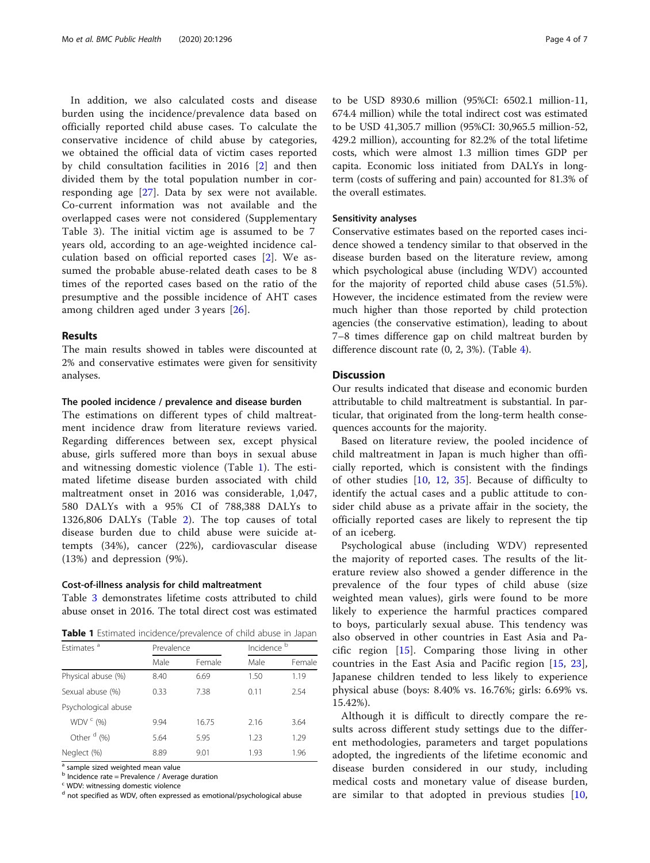In addition, we also calculated costs and disease burden using the incidence/prevalence data based on officially reported child abuse cases. To calculate the conservative incidence of child abuse by categories, we obtained the official data of victim cases reported by child consultation facilities in 2016 [\[2](#page-6-0)] and then divided them by the total population number in corresponding age [\[27](#page-6-0)]. Data by sex were not available. Co-current information was not available and the overlapped cases were not considered (Supplementary Table 3). The initial victim age is assumed to be 7 years old, according to an age-weighted incidence calculation based on official reported cases [\[2](#page-6-0)]. We assumed the probable abuse-related death cases to be 8 times of the reported cases based on the ratio of the presumptive and the possible incidence of AHT cases among children aged under 3 years [[26\]](#page-6-0).

#### Results

The main results showed in tables were discounted at 2% and conservative estimates were given for sensitivity analyses.

#### The pooled incidence / prevalence and disease burden

The estimations on different types of child maltreatment incidence draw from literature reviews varied. Regarding differences between sex, except physical abuse, girls suffered more than boys in sexual abuse and witnessing domestic violence (Table 1). The estimated lifetime disease burden associated with child maltreatment onset in 2016 was considerable, 1,047, 580 DALYs with a 95% CI of 788,388 DALYs to 1326,806 DALYs (Table [2\)](#page-4-0). The top causes of total disease burden due to child abuse were suicide attempts (34%), cancer (22%), cardiovascular disease (13%) and depression (9%).

#### Cost-of-illness analysis for child maltreatment

Table [3](#page-4-0) demonstrates lifetime costs attributed to child abuse onset in 2016. The total direct cost was estimated

| Table 1 Estimated incidence/prevalence of child abuse in Japan |  |
|----------------------------------------------------------------|--|
|----------------------------------------------------------------|--|

| Estimates <sup>a</sup> | Prevalence |        |      | Incidence <sup>b</sup> |  |
|------------------------|------------|--------|------|------------------------|--|
|                        | Male       | Female | Male | Female                 |  |
| Physical abuse (%)     | 8.40       | 6.69   | 1.50 | 1.19                   |  |
| Sexual abuse (%)       | 0.33       | 7.38   | 0.11 | 2.54                   |  |
| Psychological abuse    |            |        |      |                        |  |
| WDV $<$ (%)            | 9.94       | 16.75  | 2.16 | 3.64                   |  |
| Other <sup>d</sup> (%) | 5.64       | 5.95   | 1.23 | 1.29                   |  |
| Neglect (%)            | 8.89       | 9.01   | 1.93 | 1.96                   |  |

<sup>a</sup> sample sized weighted mean value

 $<sup>b</sup>$  Incidence rate = Prevalence / Average duration</sup>

<sup>c</sup> WDV: witnessing domestic violence

 $d$  not specified as WDV, often expressed as emotional/psychological abuse

to be USD 8930.6 million (95%CI: 6502.1 million-11, 674.4 million) while the total indirect cost was estimated to be USD 41,305.7 million (95%CI: 30,965.5 million-52, 429.2 million), accounting for 82.2% of the total lifetime costs, which were almost 1.3 million times GDP per capita. Economic loss initiated from DALYs in longterm (costs of suffering and pain) accounted for 81.3% of the overall estimates.

### Sensitivity analyses

Conservative estimates based on the reported cases incidence showed a tendency similar to that observed in the disease burden based on the literature review, among which psychological abuse (including WDV) accounted for the majority of reported child abuse cases (51.5%). However, the incidence estimated from the review were much higher than those reported by child protection agencies (the conservative estimation), leading to about 7–8 times difference gap on child maltreat burden by difference discount rate (0, 2, 3%). (Table [4\)](#page-5-0).

# Discussion

Our results indicated that disease and economic burden attributable to child maltreatment is substantial. In particular, that originated from the long-term health consequences accounts for the majority.

Based on literature review, the pooled incidence of child maltreatment in Japan is much higher than officially reported, which is consistent with the findings of other studies  $[10, 12, 35]$  $[10, 12, 35]$  $[10, 12, 35]$  $[10, 12, 35]$  $[10, 12, 35]$ . Because of difficulty to identify the actual cases and a public attitude to consider child abuse as a private affair in the society, the officially reported cases are likely to represent the tip of an iceberg.

Psychological abuse (including WDV) represented the majority of reported cases. The results of the literature review also showed a gender difference in the prevalence of the four types of child abuse (size weighted mean values), girls were found to be more likely to experience the harmful practices compared to boys, particularly sexual abuse. This tendency was also observed in other countries in East Asia and Pacific region [[15\]](#page-6-0). Comparing those living in other countries in the East Asia and Pacific region [[15,](#page-6-0) [23](#page-6-0)], Japanese children tended to less likely to experience physical abuse (boys: 8.40% vs. 16.76%; girls: 6.69% vs. 15.42%).

Although it is difficult to directly compare the results across different study settings due to the different methodologies, parameters and target populations adopted, the ingredients of the lifetime economic and disease burden considered in our study, including medical costs and monetary value of disease burden, are similar to that adopted in previous studies [\[10](#page-6-0),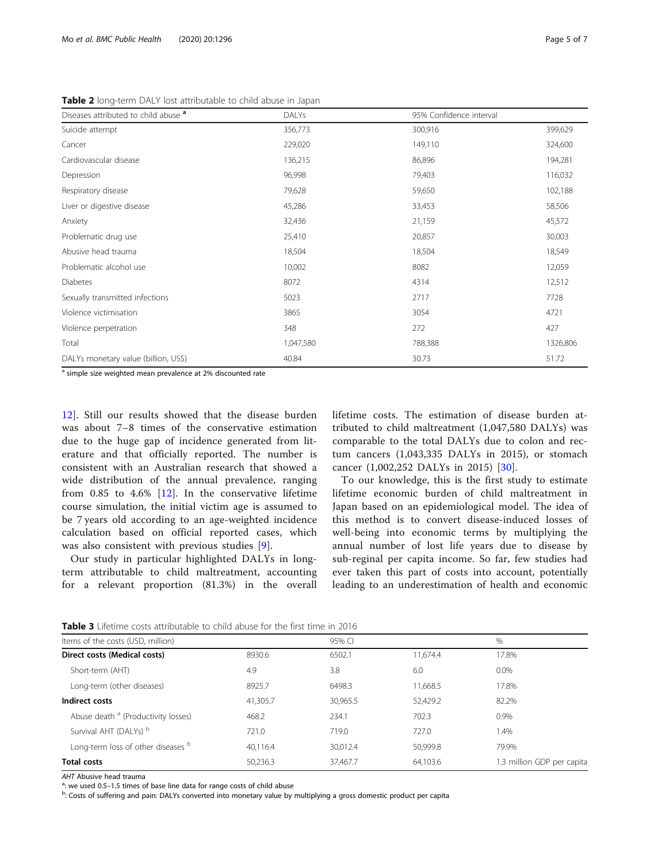<span id="page-4-0"></span>Table 2 long-term DALY lost attributable to child abuse in Japan

| Diseases attributed to child abuse <sup>a</sup> | <b>DALYs</b> |         | 95% Confidence interval |  |
|-------------------------------------------------|--------------|---------|-------------------------|--|
| Suicide attempt                                 | 356,773      | 300,916 | 399,629                 |  |
| Cancer                                          | 229,020      | 149,110 | 324,600                 |  |
| Cardiovascular disease                          | 136,215      | 86,896  | 194,281                 |  |
| Depression                                      | 96,998       | 79,403  | 116,032                 |  |
| Respiratory disease                             | 79,628       | 59,650  | 102,188                 |  |
| Liver or digestive disease                      | 45,286       | 33,453  | 58,506                  |  |
| Anxiety                                         | 32,436       | 21,159  | 45,572                  |  |
| Problematic drug use                            | 25,410       | 20,857  | 30,003                  |  |
| Abusive head trauma                             | 18,504       | 18,504  | 18,549                  |  |
| Problematic alcohol use                         | 10,002       | 8082    | 12,059                  |  |
| <b>Diabetes</b>                                 | 8072         | 4314    | 12,512                  |  |
| Sexually transmitted infections                 | 5023         | 2717    | 7728                    |  |
| Violence victimisation                          | 3865         | 3054    | 4721                    |  |
| Violence perpetration                           | 348          | 272     | 427                     |  |
| Total                                           | 1,047,580    | 788,388 | 1326,806                |  |
| DALYs monetary value (billion, US\$)            | 40.84        | 30.73   | 51.72                   |  |

<sup>a</sup> simple size weighted mean prevalence at 2% discounted rate

[12\]](#page-6-0). Still our results showed that the disease burden was about 7–8 times of the conservative estimation due to the huge gap of incidence generated from literature and that officially reported. The number is consistent with an Australian research that showed a wide distribution of the annual prevalence, ranging from 0.85 to 4.6%  $[12]$  $[12]$ . In the conservative lifetime course simulation, the initial victim age is assumed to be 7 years old according to an age-weighted incidence calculation based on official reported cases, which was also consistent with previous studies [\[9\]](#page-6-0).

Our study in particular highlighted DALYs in longterm attributable to child maltreatment, accounting for a relevant proportion (81.3%) in the overall lifetime costs. The estimation of disease burden attributed to child maltreatment (1,047,580 DALYs) was comparable to the total DALYs due to colon and rectum cancers (1,043,335 DALYs in 2015), or stomach cancer (1,002,252 DALYs in 2015) [[30\]](#page-6-0).

To our knowledge, this is the first study to estimate lifetime economic burden of child maltreatment in Japan based on an epidemiological model. The idea of this method is to convert disease-induced losses of well-being into economic terms by multiplying the annual number of lost life years due to disease by sub-reginal per capita income. So far, few studies had ever taken this part of costs into account, potentially leading to an underestimation of health and economic

Table 3 Lifetime costs attributable to child abuse for the first time in 2016

| Items of the costs (USD, million)              |          | 95% CI   |          | $\%$                       |
|------------------------------------------------|----------|----------|----------|----------------------------|
| Direct costs (Medical costs)                   | 8930.6   | 6502.1   | 11.674.4 | 17.8%                      |
| Short-term (AHT)                               | 4.9      | 3.8      | 6.0      | $0.0\%$                    |
| Long-term (other diseases)                     | 8925.7   | 6498.3   | 11,668.5 | 17.8%                      |
| Indirect costs                                 | 41,305.7 | 30,965.5 | 52,429.2 | 82.2%                      |
| Abuse death <sup>a</sup> (Productivity losses) | 468.2    | 234.1    | 702.3    | 0.9%                       |
| Survival AHT (DALYs) b                         | 721.0    | 719.0    | 727.0    | 1.4%                       |
| Long-term loss of other diseases b             | 40.116.4 | 30,012.4 | 50,999.8 | 79.9%                      |
| <b>Total costs</b>                             | 50,236.3 | 37,467.7 | 64,103.6 | 1.3 million GDP per capita |
|                                                |          |          |          |                            |

AHT Abusive head trauma

 $^{\text{a}}$ : we used 0.5–1.5 times of base line data for range costs of child abuse

<sup>b</sup>: Costs of suffering and pain: DALYs converted into monetary value by multiplying a gross domestic product per capita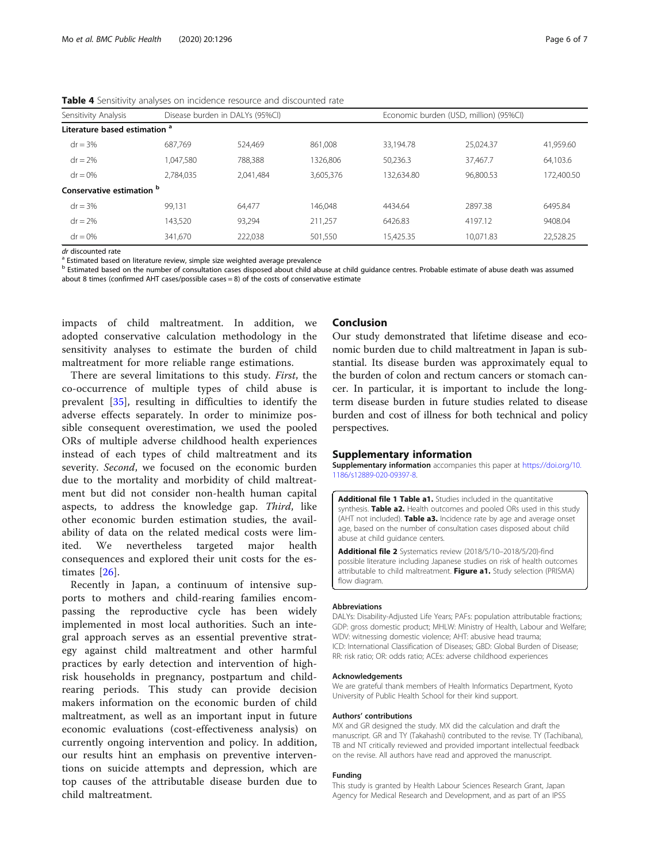| Sensitivity Analysis                     |           | Disease burden in DALYs (95%CI) |           |            | Economic burden (USD, million) (95%Cl) |            |  |
|------------------------------------------|-----------|---------------------------------|-----------|------------|----------------------------------------|------------|--|
| Literature based estimation <sup>a</sup> |           |                                 |           |            |                                        |            |  |
| $dr = 3%$                                | 687.769   | 524.469                         | 861.008   | 33.194.78  | 25.024.37                              | 41.959.60  |  |
| $dr = 2%$                                | 1.047.580 | 788,388                         | 1326.806  | 50.236.3   | 37.467.7                               | 64.103.6   |  |
| $dr = 0%$                                | 2.784.035 | 2.041.484                       | 3.605.376 | 132.634.80 | 96.800.53                              | 172,400.50 |  |
| Conservative estimation b                |           |                                 |           |            |                                        |            |  |
| $dr = 3%$                                | 99.131    | 64.477                          | 146.048   | 4434.64    | 2897.38                                | 6495.84    |  |
| $dr = 2%$                                | 143.520   | 93.294                          | 211.257   | 6426.83    | 4197.12                                | 9408.04    |  |
| $dr = 0%$                                | 341,670   | 222,038                         | 501,550   | 15,425.35  | 10,071.83                              | 22,528.25  |  |

<span id="page-5-0"></span>Table 4 Sensitivity analyses on incidence resource and discounted rate

 $dr$  discounted rate<br><sup>a</sup> Estimated based on literature review, simple size weighted average prevalence

<sup>b</sup> Estimated based on the number of consultation cases disposed about child abuse at child guidance centres. Probable estimate of abuse death was assumed about 8 times (confirmed AHT cases/possible cases = 8) of the costs of conservative estimate

impacts of child maltreatment. In addition, we adopted conservative calculation methodology in the sensitivity analyses to estimate the burden of child maltreatment for more reliable range estimations.

There are several limitations to this study. First, the co-occurrence of multiple types of child abuse is prevalent [[35\]](#page-6-0), resulting in difficulties to identify the adverse effects separately. In order to minimize possible consequent overestimation, we used the pooled ORs of multiple adverse childhood health experiences instead of each types of child maltreatment and its severity. Second, we focused on the economic burden due to the mortality and morbidity of child maltreatment but did not consider non-health human capital aspects, to address the knowledge gap. Third, like other economic burden estimation studies, the availability of data on the related medical costs were limited. We nevertheless targeted major health consequences and explored their unit costs for the estimates [\[26](#page-6-0)].

Recently in Japan, a continuum of intensive supports to mothers and child-rearing families encompassing the reproductive cycle has been widely implemented in most local authorities. Such an integral approach serves as an essential preventive strategy against child maltreatment and other harmful practices by early detection and intervention of highrisk households in pregnancy, postpartum and childrearing periods. This study can provide decision makers information on the economic burden of child maltreatment, as well as an important input in future economic evaluations (cost-effectiveness analysis) on currently ongoing intervention and policy. In addition, our results hint an emphasis on preventive interventions on suicide attempts and depression, which are top causes of the attributable disease burden due to child maltreatment.

# Conclusion

Our study demonstrated that lifetime disease and economic burden due to child maltreatment in Japan is substantial. Its disease burden was approximately equal to the burden of colon and rectum cancers or stomach cancer. In particular, it is important to include the longterm disease burden in future studies related to disease burden and cost of illness for both technical and policy perspectives.

#### Supplementary information

Supplementary information accompanies this paper at [https://doi.org/10.](https://doi.org/10.1186/s12889-020-09397-8) [1186/s12889-020-09397-8](https://doi.org/10.1186/s12889-020-09397-8).

Additional file 1 Table a1. Studies included in the quantitative synthesis. Table a2. Health outcomes and pooled ORs used in this study (AHT not included). Table a3. Incidence rate by age and average onset age, based on the number of consultation cases disposed about child abuse at child guidance centers.

Additional file 2 Systematics review (2018/5/10-2018/5/20)-find possible literature including Japanese studies on risk of health outcomes attributable to child maltreatment. Figure a1. Study selection (PRISMA) flow diagram.

#### Abbreviations

DALYs: Disability-Adjusted Life Years; PAFs: population attributable fractions; GDP: gross domestic product; MHLW: Ministry of Health, Labour and Welfare; WDV: witnessing domestic violence; AHT: abusive head trauma; ICD: International Classification of Diseases; GBD: Global Burden of Disease; RR: risk ratio; OR: odds ratio; ACEs: adverse childhood experiences

#### Acknowledgements

We are grateful thank members of Health Informatics Department, Kyoto University of Public Health School for their kind support.

#### Authors' contributions

MX and GR designed the study. MX did the calculation and draft the manuscript. GR and TY (Takahashi) contributed to the revise. TY (Tachibana), TB and NT critically reviewed and provided important intellectual feedback on the revise. All authors have read and approved the manuscript.

#### Funding

This study is granted by Health Labour Sciences Research Grant, Japan Agency for Medical Research and Development, and as part of an IPSS